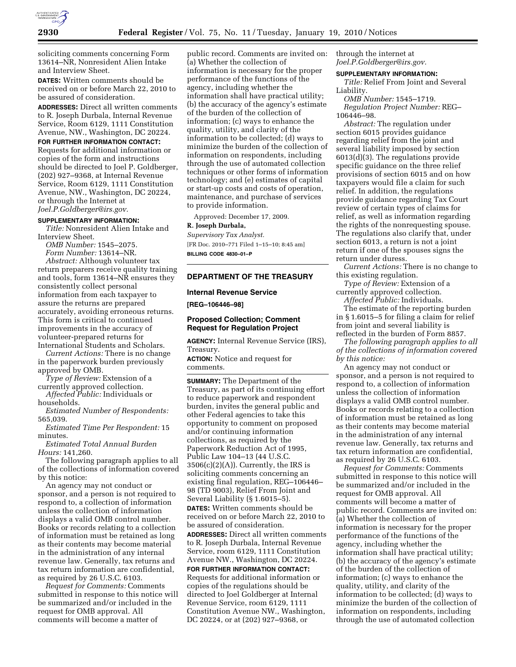

soliciting comments concerning Form 13614–NR, Nonresident Alien Intake and Interview Sheet.

**DATES:** Written comments should be received on or before March 22, 2010 to be assured of consideration.

**ADDRESSES:** Direct all written comments to R. Joseph Durbala, Internal Revenue Service, Room 6129, 1111 Constitution Avenue, NW., Washington, DC 20224.

## **FOR FURTHER INFORMATION CONTACT:**

Requests for additional information or copies of the form and instructions should be directed to Joel P. Goldberger, (202) 927–9368, at Internal Revenue Service, Room 6129, 1111 Constitution Avenue, NW., Washington, DC 20224, or through the Internet at *Joel.P.Goldberger@irs.gov.* 

#### **SUPPLEMENTARY INFORMATION:**

*Title:* Nonresident Alien Intake and Interview Sheet.

*OMB Number:* 1545–2075. *Form Number:* 13614–NR. *Abstract:* Although volunteer tax return preparers receive quality training and tools, form 13614–NR ensures they consistently collect personal information from each taxpayer to assure the returns are prepared accurately, avoiding erroneous returns. This form is critical to continued improvements in the accuracy of volunteer-prepared returns for International Students and Scholars.

*Current Actions:* There is no change in the paperwork burden previously approved by OMB.

*Type of Review:* Extension of a currently approved collection.

*Affected Public:* Individuals or households.

*Estimated Number of Respondents:*  565,039.

*Estimated Time Per Respondent:* 15 minutes.

*Estimated Total Annual Burden Hours:* 141,260.

The following paragraph applies to all of the collections of information covered by this notice:

An agency may not conduct or sponsor, and a person is not required to respond to, a collection of information unless the collection of information displays a valid OMB control number. Books or records relating to a collection of information must be retained as long as their contents may become material in the administration of any internal revenue law. Generally, tax returns and tax return information are confidential, as required by 26 U.S.C. 6103.

*Request for Comments:* Comments submitted in response to this notice will be summarized and/or included in the request for OMB approval. All comments will become a matter of

public record. Comments are invited on: (a) Whether the collection of information is necessary for the proper performance of the functions of the agency, including whether the information shall have practical utility; (b) the accuracy of the agency's estimate of the burden of the collection of information; (c) ways to enhance the quality, utility, and clarity of the information to be collected; (d) ways to minimize the burden of the collection of information on respondents, including through the use of automated collection techniques or other forms of information technology; and (e) estimates of capital or start-up costs and costs of operation, maintenance, and purchase of services to provide information.

Approved: December 17, 2009.

#### **R. Joseph Durbala,**

*Supervisory Tax Analyst.*  [FR Doc. 2010–771 Filed 1–15–10; 8:45 am] **BILLING CODE 4830–01–P** 

## **DEPARTMENT OF THE TREASURY**

### **Internal Revenue Service**

**[REG–106446–98]** 

## **Proposed Collection; Comment Request for Regulation Project**

**AGENCY:** Internal Revenue Service (IRS), Treasury.

**ACTION:** Notice and request for comments.

**SUMMARY:** The Department of the Treasury, as part of its continuing effort to reduce paperwork and respondent burden, invites the general public and other Federal agencies to take this opportunity to comment on proposed and/or continuing information collections, as required by the Paperwork Reduction Act of 1995, Public Law 104–13 (44 U.S.C.  $3506(c)(2)(A)$ . Currently, the IRS is soliciting comments concerning an existing final regulation, REG–106446– 98 (TD 9003), Relief From Joint and Several Liability (§ 1.6015–5).

**DATES:** Written comments should be received on or before March 22, 2010 to be assured of consideration.

**ADDRESSES:** Direct all written comments to R. Joseph Durbala, Internal Revenue Service, room 6129, 1111 Constitution Avenue NW., Washington, DC 20224.

**FOR FURTHER INFORMATION CONTACT:**  Requests for additional information or copies of the regulations should be directed to Joel Goldberger at Internal Revenue Service, room 6129, 1111 Constitution Avenue NW., Washington, DC 20224, or at (202) 927–9368, or

through the internet at *Joel.P.Goldberger@irs.gov.* 

## **SUPPLEMENTARY INFORMATION:**

*Title:* Relief From Joint and Several Liability.

*OMB Number:* 1545–1719. *Regulation Project Number:* REG– 106446–98.

*Abstract:* The regulation under section 6015 provides guidance regarding relief from the joint and several liability imposed by section 6013(d)(3). The regulations provide specific guidance on the three relief provisions of section 6015 and on how taxpayers would file a claim for such relief. In addition, the regulations provide guidance regarding Tax Court review of certain types of claims for relief, as well as information regarding the rights of the nonrequesting spouse. The regulations also clarify that, under section 6013, a return is not a joint return if one of the spouses signs the return under duress.

*Current Actions:* There is no change to this existing regulation.

*Type of Review:* Extension of a currently approved collection.

*Affected Public:* Individuals.

The estimate of the reporting burden in § 1.6015–5 for filing a claim for relief from joint and several liability is reflected in the burden of Form 8857.

*The following paragraph applies to all of the collections of information covered by this notice:* 

An agency may not conduct or sponsor, and a person is not required to respond to, a collection of information unless the collection of information displays a valid OMB control number. Books or records relating to a collection of information must be retained as long as their contents may become material in the administration of any internal revenue law. Generally, tax returns and tax return information are confidential, as required by 26 U.S.C. 6103.

*Request for Comments:* Comments submitted in response to this notice will be summarized and/or included in the request for OMB approval. All comments will become a matter of public record. Comments are invited on: (a) Whether the collection of information is necessary for the proper performance of the functions of the agency, including whether the information shall have practical utility; (b) the accuracy of the agency's estimate of the burden of the collection of information; (c) ways to enhance the quality, utility, and clarity of the information to be collected; (d) ways to minimize the burden of the collection of information on respondents, including through the use of automated collection